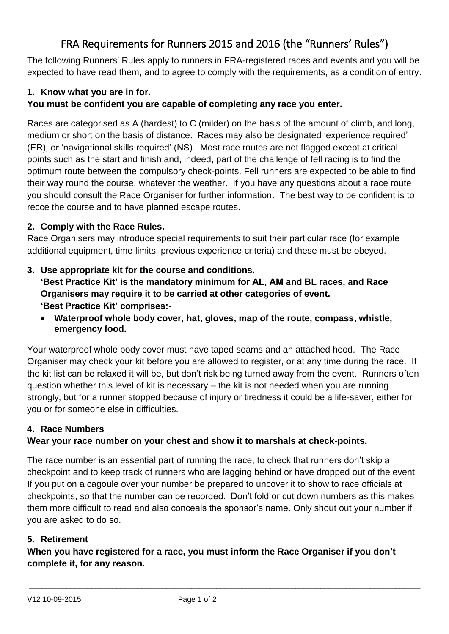# FRA Requirements for Runners 2015 and 2016 (the "Runners' Rules")

The following Runners' Rules apply to runners in FRA-registered races and events and you will be expected to have read them, and to agree to comply with the requirements, as a condition of entry.

### **1. Know what you are in for.**

### **You must be confident you are capable of completing any race you enter.**

Races are categorised as A (hardest) to C (milder) on the basis of the amount of climb, and long, medium or short on the basis of distance. Races may also be designated 'experience required' (ER), or 'navigational skills required' (NS). Most race routes are not flagged except at critical points such as the start and finish and, indeed, part of the challenge of fell racing is to find the optimum route between the compulsory check-points. Fell runners are expected to be able to find their way round the course, whatever the weather. If you have any questions about a race route you should consult the Race Organiser for further information. The best way to be confident is to recce the course and to have planned escape routes.

#### **2. Comply with the Race Rules.**

Race Organisers may introduce special requirements to suit their particular race (for example additional equipment, time limits, previous experience criteria) and these must be obeyed.

#### **3. Use appropriate kit for the course and conditions.**

**'Best Practice Kit' is the mandatory minimum for AL, AM and BL races, and Race Organisers may require it to be carried at other categories of event. 'Best Practice Kit' comprises:-**

 **Waterproof whole body cover, hat, gloves, map of the route, compass, whistle, emergency food.**

Your waterproof whole body cover must have taped seams and an attached hood. The Race Organiser may check your kit before you are allowed to register, or at any time during the race. If the kit list can be relaxed it will be, but don't risk being turned away from the event. Runners often question whether this level of kit is necessary – the kit is not needed when you are running strongly, but for a runner stopped because of injury or tiredness it could be a life-saver, either for you or for someone else in difficulties.

### **4. Race Numbers**

### **Wear your race number on your chest and show it to marshals at check-points.**

The race number is an essential part of running the race, to check that runners don't skip a checkpoint and to keep track of runners who are lagging behind or have dropped out of the event. If you put on a cagoule over your number be prepared to uncover it to show to race officials at checkpoints, so that the number can be recorded. Don't fold or cut down numbers as this makes them more difficult to read and also conceals the sponsor's name. Only shout out your number if you are asked to do so.

#### **5. Retirement**

**When you have registered for a race, you must inform the Race Organiser if you don't complete it, for any reason.**

 $\_$  ,  $\_$  ,  $\_$  ,  $\_$  ,  $\_$  ,  $\_$  ,  $\_$  ,  $\_$  ,  $\_$  ,  $\_$  ,  $\_$  ,  $\_$  ,  $\_$  ,  $\_$  ,  $\_$  ,  $\_$  ,  $\_$  ,  $\_$  ,  $\_$  ,  $\_$  ,  $\_$  ,  $\_$  ,  $\_$  ,  $\_$  ,  $\_$  ,  $\_$  ,  $\_$  ,  $\_$  ,  $\_$  ,  $\_$  ,  $\_$  ,  $\_$  ,  $\_$  ,  $\_$  ,  $\_$  ,  $\_$  ,  $\_$  ,